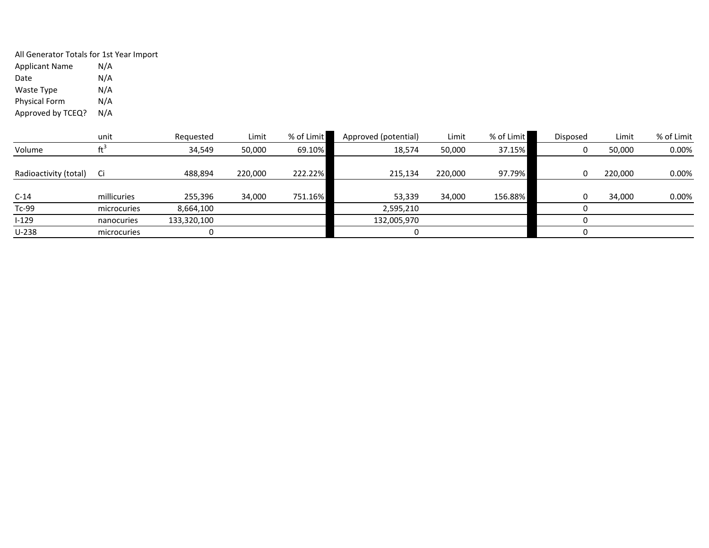All Generator Totals for 1st Year Import Applicant Name  $N/A$ <br>Date  $N/A$ Date Waste Type N/A Physical Form Approved by TCEQ? N/A

|                       | unit        | Requested   | Limit   | % of Limit | Approved (potential) | Limit   | % of Limit | Disposed | Limit   | % of Limit |
|-----------------------|-------------|-------------|---------|------------|----------------------|---------|------------|----------|---------|------------|
| Volume                |             | 34,549      | 50,000  | 69.10%     | 18,574               | 50,000  | 37.15%     |          | 50,000  | 0.00%      |
|                       |             |             |         |            |                      |         |            |          |         |            |
| Radioactivity (total) | - Ci        | 488,894     | 220.000 | 222.22%    | 215,134              | 220,000 | 97.79%     |          | 220,000 | 0.00%      |
|                       |             |             |         |            |                      |         |            |          |         |            |
| $C-14$                | millicuries | 255,396     | 34,000  | 751.16%    | 53,339               | 34,000  | 156.88%    |          | 34,000  | 0.00%      |
| Tc-99                 | microcuries | 8,664,100   |         |            | 2,595,210            |         |            |          |         |            |
| $I-129$               | nanocuries  | 133,320,100 |         |            | 132,005,970          |         |            |          |         |            |
| $U-238$               | microcuries |             |         |            |                      |         |            |          |         |            |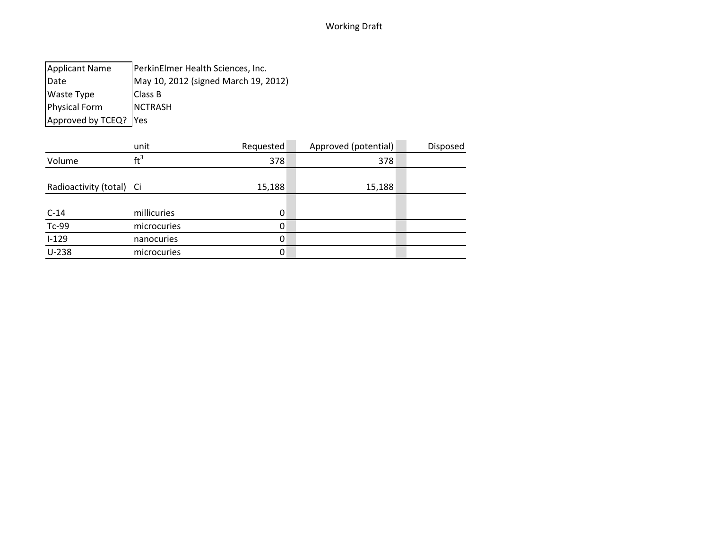| <b>Applicant Name</b>   | PerkinElmer Health Sciences, Inc.    |
|-------------------------|--------------------------------------|
| Date                    | May 10, 2012 (signed March 19, 2012) |
| <b>Waste Type</b>       | <b>Class B</b>                       |
| <b>Physical Form</b>    | <b>NCTRASH</b>                       |
| Approved by TCEQ?   Yes |                                      |

|                          | unit            | Requested | Approved (potential) | Disposed |
|--------------------------|-----------------|-----------|----------------------|----------|
| Volume                   | $\mathrm{ft}^3$ | 378       | 378                  |          |
|                          |                 |           |                      |          |
| Radioactivity (total) Ci |                 | 15,188    | 15,188               |          |
|                          |                 |           |                      |          |
| $C-14$                   | millicuries     | 0         |                      |          |
| $Tc-99$                  | microcuries     | 0         |                      |          |
| $I-129$                  | nanocuries      | 0         |                      |          |
| $U-238$                  | microcuries     | 0         |                      |          |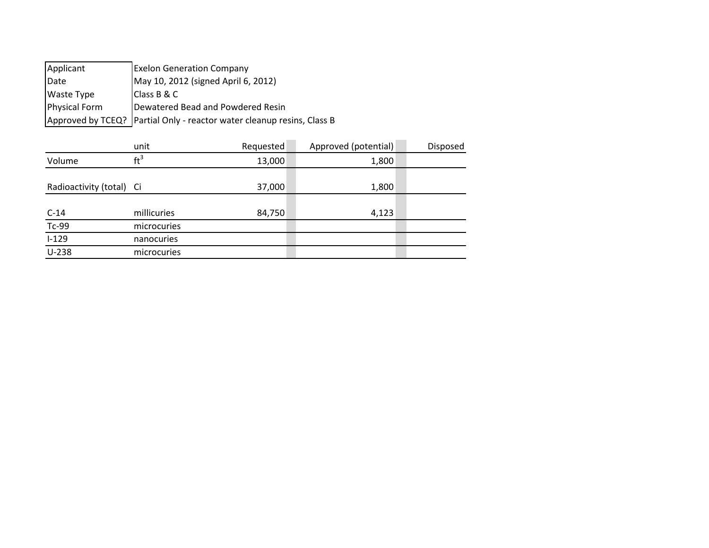| Applicant            | <b>Exelon Generation Company</b>                                         |
|----------------------|--------------------------------------------------------------------------|
| Date                 | May 10, 2012 (signed April 6, 2012)                                      |
| <b>Waste Type</b>    | IClass B & C                                                             |
| <b>Physical Form</b> | Dewatered Bead and Powdered Resin                                        |
|                      | Approved by TCEQ?   Partial Only - reactor water cleanup resins, Class B |

|                          | unit        | Requested | Approved (potential) | Disposed |
|--------------------------|-------------|-----------|----------------------|----------|
| Volume                   | $ft^3$      | 13,000    | 1,800                |          |
|                          |             |           |                      |          |
| Radioactivity (total) Ci |             | 37,000    | 1,800                |          |
|                          |             |           |                      |          |
| $C-14$                   | millicuries | 84,750    | 4,123                |          |
| $Tc-99$                  | microcuries |           |                      |          |
| $1 - 129$                | nanocuries  |           |                      |          |
| $U-238$                  | microcuries |           |                      |          |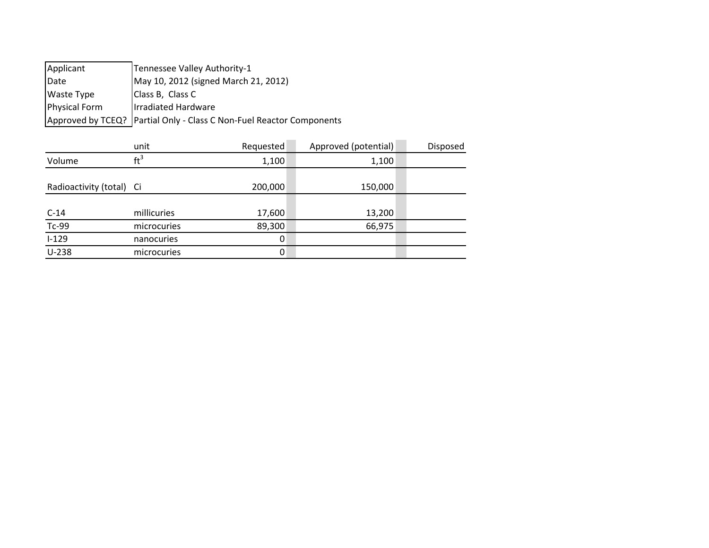| Applicant            | Tennessee Valley Authority-1                                           |
|----------------------|------------------------------------------------------------------------|
| Date                 | May 10, 2012 (signed March 21, 2012)                                   |
| <b>Waste Type</b>    | Class B, Class C                                                       |
| <b>Physical Form</b> | Irradiated Hardware                                                    |
|                      | Approved by TCEQ?   Partial Only - Class C Non-Fuel Reactor Components |
|                      |                                                                        |

|                          | unit        | Requested | Approved (potential) | Disposed |
|--------------------------|-------------|-----------|----------------------|----------|
| Volume                   | $ft^3$      | 1,100     | 1,100                |          |
|                          |             |           |                      |          |
| Radioactivity (total) Ci |             | 200,000   | 150,000              |          |
|                          |             |           |                      |          |
| $C-14$                   | millicuries | 17,600    | 13,200               |          |
| $Tc-99$                  | microcuries | 89,300    | 66,975               |          |
| $I-129$                  | nanocuries  | 0         |                      |          |
| $U-238$                  | microcuries | 0         |                      |          |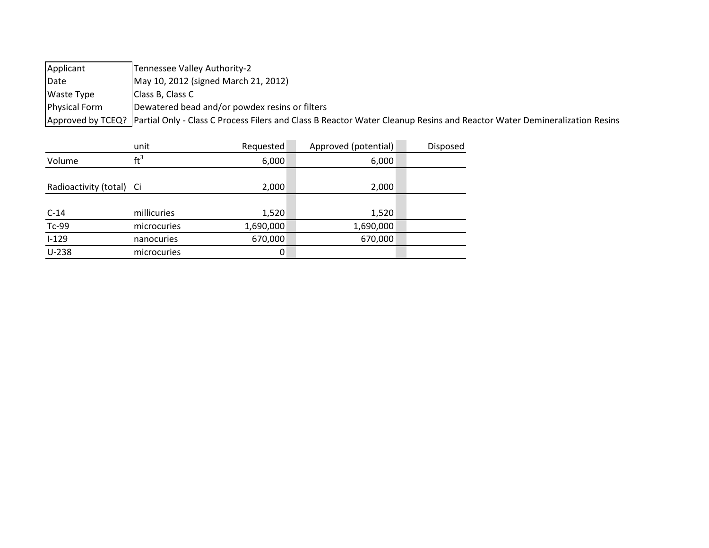| Applicant            | Tennessee Valley Authority-2                                                                                                                 |
|----------------------|----------------------------------------------------------------------------------------------------------------------------------------------|
| <b>IDate</b>         | May 10, 2012 (signed March 21, 2012)                                                                                                         |
| Waste Type           | Class B, Class C                                                                                                                             |
| <b>Physical Form</b> | Dewatered bead and/or powdex resins or filters                                                                                               |
|                      | Approved by TCEQ?   Partial Only - Class C Process Filers and Class B Reactor Water Cleanup Resins and Reactor Water Demineralization Resins |

|                          | unit            | Requested | Approved (potential) | Disposed |
|--------------------------|-----------------|-----------|----------------------|----------|
| Volume                   | $\mathrm{ft}^3$ | 6,000     | 6,000                |          |
|                          |                 |           |                      |          |
| Radioactivity (total) Ci |                 | 2,000     | 2,000                |          |
|                          |                 |           |                      |          |
| $C-14$                   | millicuries     | 1,520     | 1,520                |          |
| Tc-99                    | microcuries     | 1,690,000 | 1,690,000            |          |
| $I-129$                  | nanocuries      | 670,000   | 670,000              |          |
| $U-238$                  | microcuries     | 0         |                      |          |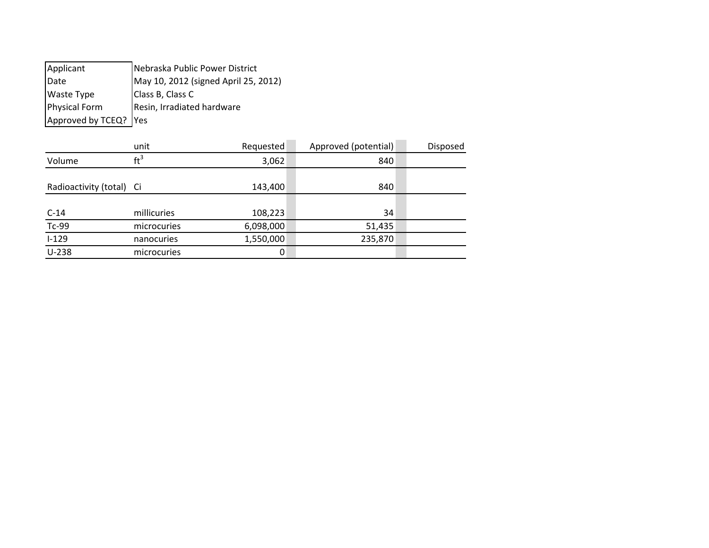| Applicant             | Nebraska Public Power District       |
|-----------------------|--------------------------------------|
| Date                  | May 10, 2012 (signed April 25, 2012) |
| <b>Waste Type</b>     | Class B, Class C                     |
| Physical Form         | Resin, Irradiated hardware           |
| Approved by TCEQ? Yes |                                      |

|                          | unit        | Requested | Approved (potential) | Disposed |
|--------------------------|-------------|-----------|----------------------|----------|
| Volume                   | $ft^3$      | 3,062     | 840                  |          |
|                          |             |           |                      |          |
| Radioactivity (total) Ci |             | 143,400   | 840                  |          |
|                          |             |           |                      |          |
| $C-14$                   | millicuries | 108,223   | 34                   |          |
| $Tc-99$                  | microcuries | 6,098,000 | 51,435               |          |
| $I-129$                  | nanocuries  | 1,550,000 | 235,870              |          |
| $U-238$                  | microcuries | 0         |                      |          |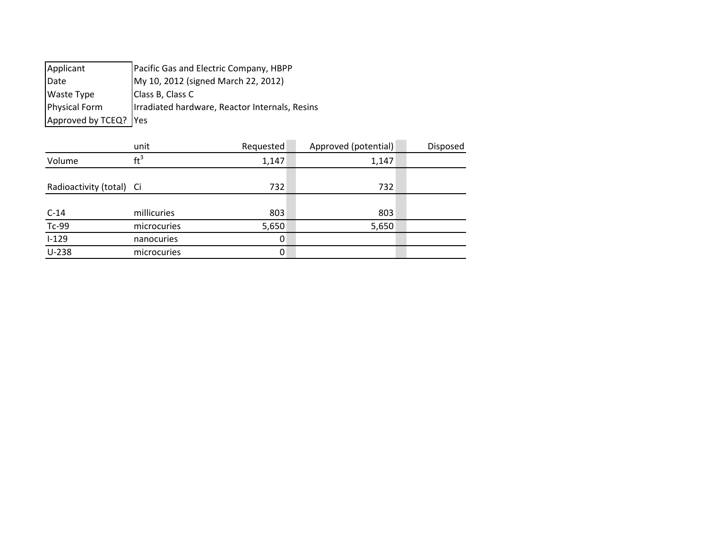| Applicant             | Pacific Gas and Electric Company, HBPP         |
|-----------------------|------------------------------------------------|
| Date                  | My 10, 2012 (signed March 22, 2012)            |
| <b>Waste Type</b>     | Class B, Class C                               |
| <b>Physical Form</b>  | Irradiated hardware, Reactor Internals, Resins |
| Approved by TCEQ? Yes |                                                |

|                          | unit        | Requested | Approved (potential) | Disposed |
|--------------------------|-------------|-----------|----------------------|----------|
| Volume                   | $ft^3$      | 1,147     | 1,147                |          |
|                          |             |           |                      |          |
| Radioactivity (total) Ci |             | 732       | 732                  |          |
|                          |             |           |                      |          |
| $C-14$                   | millicuries | 803       | 803                  |          |
| $Tc-99$                  | microcuries | 5,650     | 5,650                |          |
| $I-129$                  | nanocuries  | 0         |                      |          |
| $U-238$                  | microcuries | 0         |                      |          |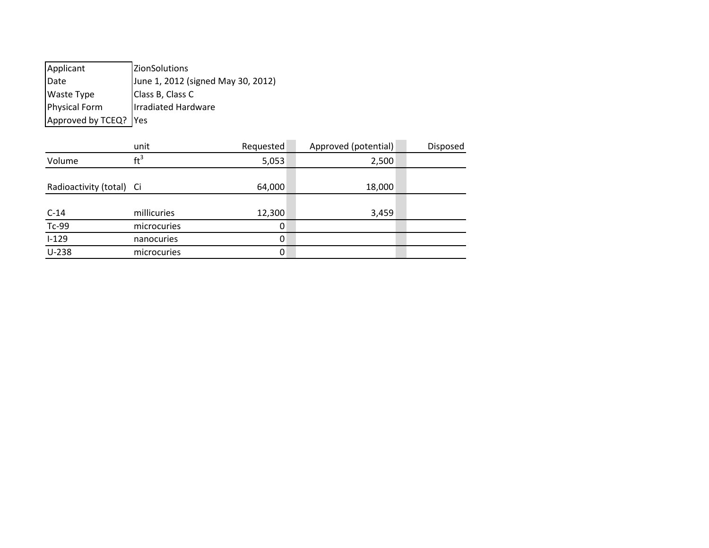Applicant **ZionSolutions** Date **June 1, 2012 (signed May 30, 2012)** Waste Type Class B, Class C Physical Form Irradiated Hardware Approved by  $TCEQ$ ? Yes

|                          | unit            | Requested | Approved (potential) | Disposed |
|--------------------------|-----------------|-----------|----------------------|----------|
| Volume                   | $\mathrm{ft}^3$ | 5,053     | 2,500                |          |
|                          |                 |           |                      |          |
| Radioactivity (total) Ci |                 | 64,000    | 18,000               |          |
|                          |                 |           |                      |          |
| $C-14$                   | millicuries     | 12,300    | 3,459                |          |
| $Tc-99$                  | microcuries     | 0         |                      |          |
| $1 - 129$                | nanocuries      | 0         |                      |          |
| $U-238$                  | microcuries     | 0         |                      |          |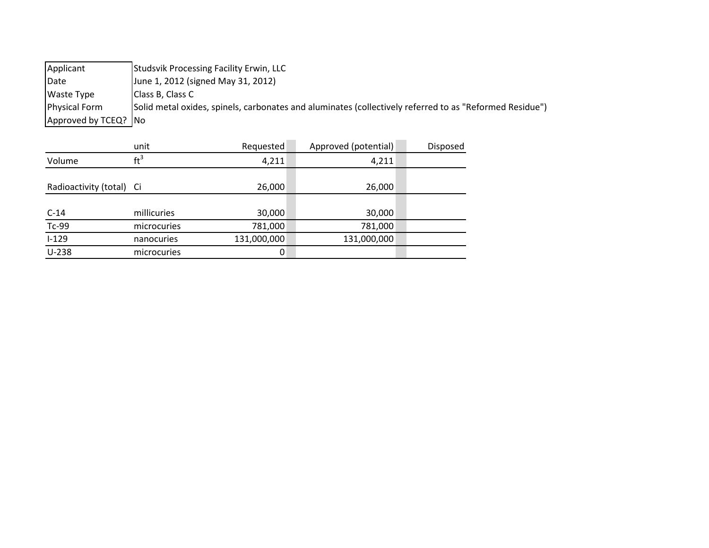Applicant Studsvik Processing Facility Erwin, LLC Date **June 1, 2012 (signed May 31, 2012)** Waste Type Class B, Class C Physical Form Solid metal oxides, spinels, carbonates and aluminates (collectively referred to as "Reformed Residue") Approved by  $TCEQ$ ? No

|                          | unit               | Requested   | Approved (potential) | Disposed |
|--------------------------|--------------------|-------------|----------------------|----------|
| Volume                   | ft <sup>3</sup>    | 4,211       | 4,211                |          |
|                          |                    |             |                      |          |
| Radioactivity (total) Ci |                    | 26,000      | 26,000               |          |
|                          |                    |             |                      |          |
| $C-14$                   | millicuries        | 30,000      | 30,000               |          |
| $Tc-99$                  | <i>microcuries</i> | 781,000     | 781,000              |          |
| $I-129$                  | nanocuries         | 131,000,000 | 131,000,000          |          |
| $U-238$                  | microcuries        | 0           |                      |          |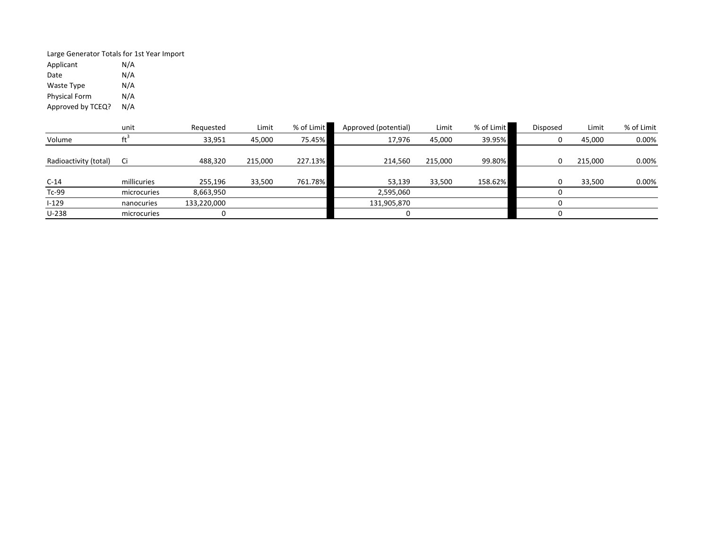Large Generator Totals for 1st Year Import<br>Applicant M/A Applicant N/A<br>Date N/A Date Waste Type N/A Physical Form Approved by TCEQ? N/A

|                       | unit        | Requested   | Limit   | % of Limit | Approved (potential) | Limit   | % of Limit | Disposed | Limit   | % of Limit |
|-----------------------|-------------|-------------|---------|------------|----------------------|---------|------------|----------|---------|------------|
| Volume                |             | 33,951      | 45,000  | 75.45%     | 17,976               | 45,000  | 39.95%     |          | 45,000  | 0.00%      |
|                       |             |             |         |            |                      |         |            |          |         |            |
| Radioactivity (total) | -Ci         | 488.320     | 215,000 | 227.13%    | 214.560              | 215,000 | 99.80%     |          | 215,000 | 0.00%      |
|                       |             |             |         |            |                      |         |            |          |         |            |
| $C-14$                | millicuries | 255,196     | 33,500  | 761.78%    | 53,139               | 33,500  | 158.62%    |          | 33,500  | 0.00%      |
| Tc-99                 | microcuries | 8,663,950   |         |            | 2,595,060            |         |            |          |         |            |
| $1 - 129$             | nanocuries  | 133,220,000 |         |            | 131,905,870          |         |            |          |         |            |
| $U-238$               | microcuries |             |         |            |                      |         |            |          |         |            |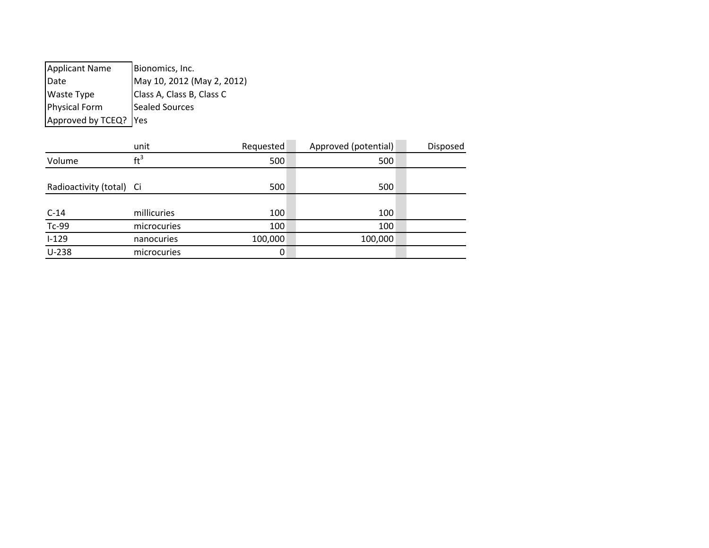Applicant Name | Bionomics, Inc. Date May 10, 2012 (May 2, 2012) Waste Type Class A, Class B, Class C Physical Form Sealed Sources Approved by  $TCEQ$ ? Yes

|                          | unit        | Requested | Approved (potential) | Disposed |
|--------------------------|-------------|-----------|----------------------|----------|
| Volume                   | $ft^3$      | 500       | 500                  |          |
|                          |             |           |                      |          |
| Radioactivity (total) Ci |             | 500       | 500                  |          |
|                          |             |           |                      |          |
| $C-14$                   | millicuries | 100       | 100                  |          |
| $Tc-99$                  | microcuries | 100       | 100                  |          |
| $I-129$                  | nanocuries  | 100,000   | 100,000              |          |
| $U-238$                  | microcuries | 0         |                      |          |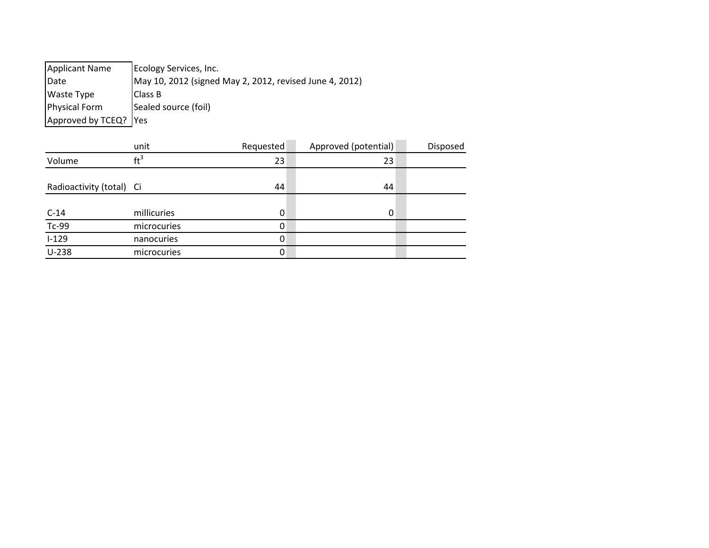Applicant Name Ecology Services, Inc. Date May 10, 2012 (signed May 2, 2012, revised June 4, 2012) Waste Type Class B Physical Form Sealed source (foil) Approved by TCEQ? Yes

|                          | unit            | Requested | Approved (potential) | Disposed |
|--------------------------|-----------------|-----------|----------------------|----------|
| Volume                   | $\mathrm{ft}^3$ | 23        | 23                   |          |
|                          |                 |           |                      |          |
| Radioactivity (total) Ci |                 | 44        | 44                   |          |
|                          |                 |           |                      |          |
| $C-14$                   | millicuries     | 0         | 0                    |          |
| $Tc-99$                  | microcuries     | 0         |                      |          |
| $1 - 129$                | nanocuries      | 0         |                      |          |
| $U-238$                  | microcuries     | 0         |                      |          |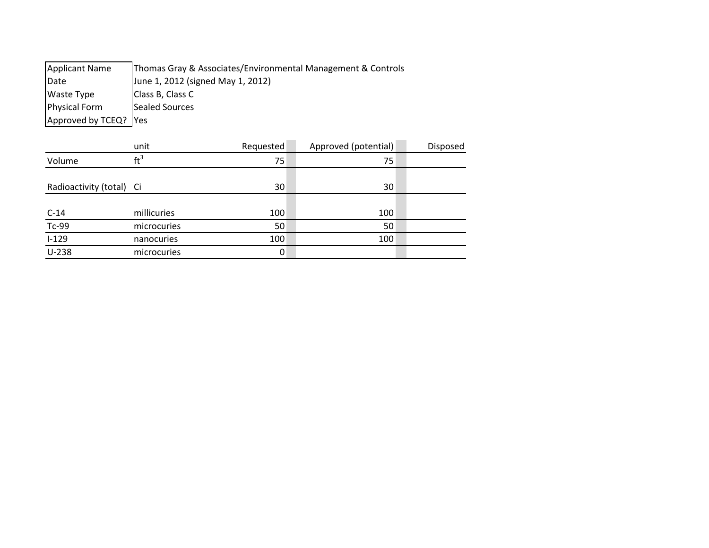| <b>Applicant Name</b>   | Thomas Gray & Associates/Environmental Management & Controls |
|-------------------------|--------------------------------------------------------------|
| Date                    | June 1, 2012 (signed May 1, 2012)                            |
| <b>Waste Type</b>       | Class B, Class C                                             |
| <b>Physical Form</b>    | Sealed Sources                                               |
| Approved by TCEQ?   Yes |                                                              |

|                          | unit            | Requested | Approved (potential) | Disposed |
|--------------------------|-----------------|-----------|----------------------|----------|
| Volume                   | $\mathrm{ft}^3$ | 75        | 75                   |          |
|                          |                 |           |                      |          |
| Radioactivity (total) Ci |                 | 30        | 30                   |          |
|                          |                 |           |                      |          |
| $C-14$                   | millicuries     | 100       | 100                  |          |
| $Tc-99$                  | microcuries     | 50        | 50                   |          |
| $I-129$                  | nanocuries      | 100       | 100                  |          |
| $U-238$                  | microcuries     | 0         |                      |          |